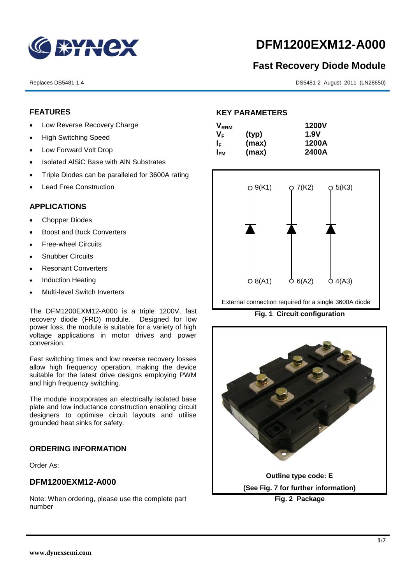

# **DFM1200EXM12-A000**

# **Fast Recovery Diode Module**

Replaces DS5481-1.4 DS5481-2 August 2011 (LN28650)

# **FEATURES**

- Low Reverse Recovery Charge
- High Switching Speed
- Low Forward Volt Drop
- Isolated AISiC Base with AIN Substrates
- Triple Diodes can be paralleled for 3600A rating
- Lead Free Construction

### **APPLICATIONS**

- Chopper Diodes
- Boost and Buck Converters
- **Free-wheel Circuits**
- Snubber Circuits
- Resonant Converters
- Induction Heating
- Multi-level Switch Inverters

The DFM1200EXM12-A000 is a triple 1200V, fast recovery diode (FRD) module. Designed for low power loss, the module is suitable for a variety of high voltage applications in motor drives and power conversion.

Fast switching times and low reverse recovery losses allow high frequency operation, making the device suitable for the latest drive designs employing PWM and high frequency switching.

The module incorporates an electrically isolated base plate and low inductance construction enabling circuit designers to optimise circuit layouts and utilise grounded heat sinks for safety.

# **ORDERING INFORMATION**

Order As:

### **DFM1200EXM12-A000**

Note: When ordering, please use the complete part number

# **KEY PARAMETERS**

| $\mathsf{V}_{\mathsf{RRM}}$ |       | <b>1200V</b> |
|-----------------------------|-------|--------------|
| V <sub>F</sub>              | (typ) | 1.9V         |
| IF.                         | (max) | 1200A        |
| I <sub>FМ</sub>             | (max) | 2400A        |



External connection required for a single 3600A diode

**Fig. 1 Circuit configuration**

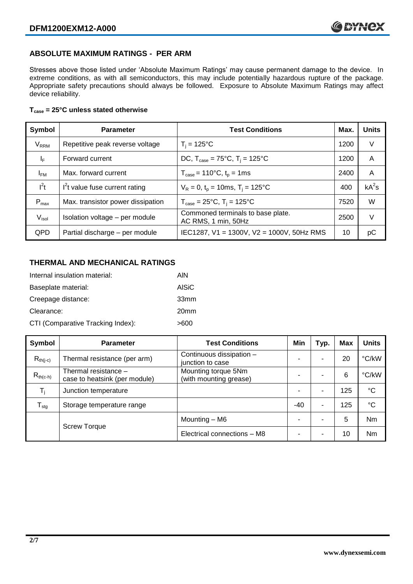# **ABSOLUTE MAXIMUM RATINGS - PER ARM**

Stresses above those listed under 'Absolute Maximum Ratings' may cause permanent damage to the device. In extreme conditions, as with all semiconductors, this may include potentially hazardous rupture of the package. Appropriate safety precautions should always be followed. Exposure to Absolute Maximum Ratings may affect device reliability.

#### **Tcase = 25°C unless stated otherwise**

| Symbol                 | <b>Parameter</b>                  | <b>Test Conditions</b>                                      | Max. | <b>Units</b> |
|------------------------|-----------------------------------|-------------------------------------------------------------|------|--------------|
| <b>V<sub>RRM</sub></b> | Repetitive peak reverse voltage   | $T_i = 125$ °C                                              | 1200 | V            |
| ΙF                     | Forward current                   | DC, $T_{\text{case}} = 75^{\circ}$ C, $T_i = 125^{\circ}$ C | 1200 | A            |
| $I_{FM}$               | Max. forward current              | $T_{\text{case}} = 110^{\circ}C, t_{p} = 1ms$               | 2400 | A            |
| $I^2t$                 | $I2t$ value fuse current rating   | $V_R = 0$ , $t_p = 10$ ms, $T_i = 125$ °C                   | 400  | $kA^2s$      |
| $P_{max}$              | Max. transistor power dissipation | $T_{\text{case}} = 25^{\circ}C$ , $T_i = 125^{\circ}C$      | 7520 | W            |
| V <sub>isol</sub>      | Isolation voltage - per module    | Commoned terminals to base plate.<br>AC RMS, 1 min, 50Hz    | 2500 | V            |
| <b>QPD</b>             | Partial discharge - per module    | IEC1287, V1 = 1300V, V2 = 1000V, 50Hz RMS                   | 10   | рC           |

# **THERMAL AND MECHANICAL RATINGS**

| Internal insulation material:     | AIN              |
|-----------------------------------|------------------|
| Baseplate material:               | <b>AISiC</b>     |
| Creepage distance:                | 33 <sub>mm</sub> |
| Clearance:                        | 20 <sub>mm</sub> |
| CTI (Comparative Tracking Index): | >600             |

| Symbol                     | <b>Parameter</b>                                      | <b>Test Conditions</b>                        | Min | Typ.                     | Max | <b>Units</b> |
|----------------------------|-------------------------------------------------------|-----------------------------------------------|-----|--------------------------|-----|--------------|
| $R_{th(i-c)}$              | Thermal resistance (per arm)                          | Continuous dissipation -<br>junction to case  |     | -                        | 20  | °C/kW        |
| $R_{th(c-h)}$              | Thermal resistance -<br>case to heatsink (per module) | Mounting torque 5Nm<br>(with mounting grease) |     | -                        | 6   | °C/kW        |
| $\mathsf{T}_\mathsf{i}$    | Junction temperature                                  |                                               |     | $\overline{\phantom{a}}$ | 125 | $^{\circ}C$  |
| ${\mathsf T}_{\text{stg}}$ | Storage temperature range                             |                                               | -40 | -                        | 125 | °C           |
|                            |                                                       | Mounting - M6                                 |     | -                        | 5   | Nm           |
|                            | <b>Screw Torque</b>                                   | Electrical connections - M8                   |     | -                        | 10  | Nm           |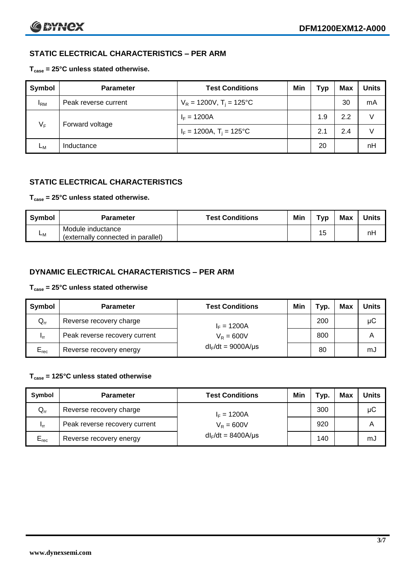# **STATIC ELECTRICAL CHARACTERISTICS – PER ARM**

#### **Tcase = 25°C unless stated otherwise.**

| Symbol       | <b>Parameter</b>     | <b>Test Conditions</b>                 | Min | Тур | <b>Max</b> | <b>Units</b> |
|--------------|----------------------|----------------------------------------|-----|-----|------------|--------------|
| $I_{\rm RM}$ | Peak reverse current | $V_R = 1200V$ , T <sub>i</sub> = 125°C |     |     | 30         | mA           |
| $V_F$        | Forward voltage      | $I_F = 1200A$                          |     | 1.9 | 2.2        | V            |
|              |                      | $I_F = 1200A$ , $T_i = 125^{\circ}C$   |     | 2.1 | 2.4        | V            |
| Lм           | Inductance           |                                        |     | 20  |            | nH           |

# **STATIC ELECTRICAL CHARACTERISTICS**

#### **Tcase = 25°C unless stated otherwise.**

| <b>Symbol</b> | <b>Parameter</b>                                        | <b>Test Conditions</b> | Min | Typ | <b>Max</b> | <b>Units</b> |
|---------------|---------------------------------------------------------|------------------------|-----|-----|------------|--------------|
| <b>L</b> M    | Module inductance<br>(externally connected in parallel) |                        |     | 15  |            | nH           |

# **DYNAMIC ELECTRICAL CHARACTERISTICS – PER ARM**

#### **Tcase = 25°C unless stated otherwise**

| <b>Symbol</b>   | <b>Parameter</b>              | <b>Test Conditions</b>  | Min | Typ. | Max | Units |
|-----------------|-------------------------------|-------------------------|-----|------|-----|-------|
| $Q_{rr}$        | Reverse recovery charge       | $I_F = 1200A$           |     | 200  |     | μC    |
| 1 <sub>rr</sub> | Peak reverse recovery current | $V_R = 600V$            |     | 800  |     | Α     |
| $E_{rec}$       | Reverse recovery energy       | $dl_F/dt = 9000A/\mu s$ |     | 80   |     | mJ    |

### **Tcase = 125°C unless stated otherwise**

| Symbol    | <b>Parameter</b>              | <b>Test Conditions</b>  | Min | Typ. | <b>Max</b> | <b>Units</b> |
|-----------|-------------------------------|-------------------------|-----|------|------------|--------------|
| $Q_{rr}$  | Reverse recovery charge       | $I_F = 1200A$           |     | 300  |            | μC           |
| - Irr     | Peak reverse recovery current | $V_R = 600V$            |     | 920  |            | А            |
| $E_{rec}$ | Reverse recovery energy       | $dl_F/dt = 8400A/\mu s$ |     | 140  |            | mJ           |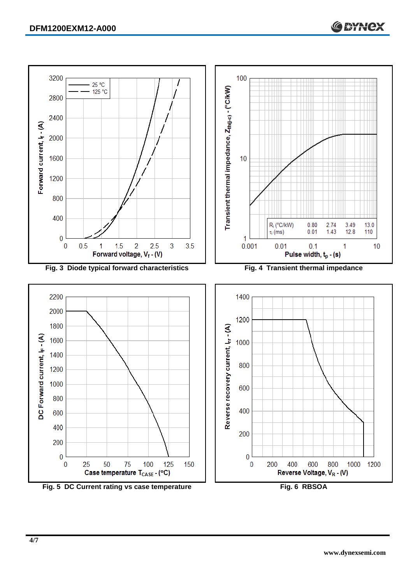

200

 $\bf{0}$ 

 $\bf{0}$ 

200

400

600

Reverse Voltage, V<sub>R</sub> - (V)

800



**www.dynexsemi.com**

1000 1200

**C BYNCX**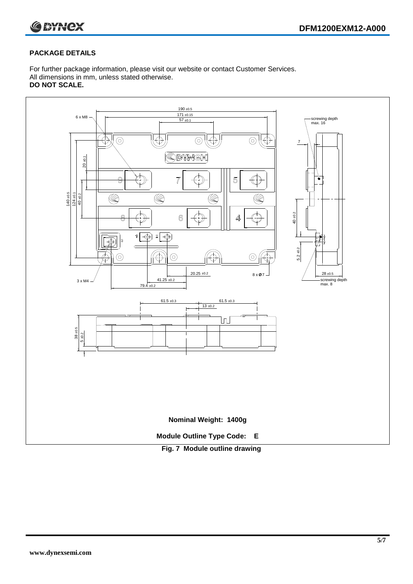

#### **PACKAGE DETAILS**

For further package information, please visit our website or contact Customer Services. All dimensions in mm, unless stated otherwise. **DO NOT SCALE.**